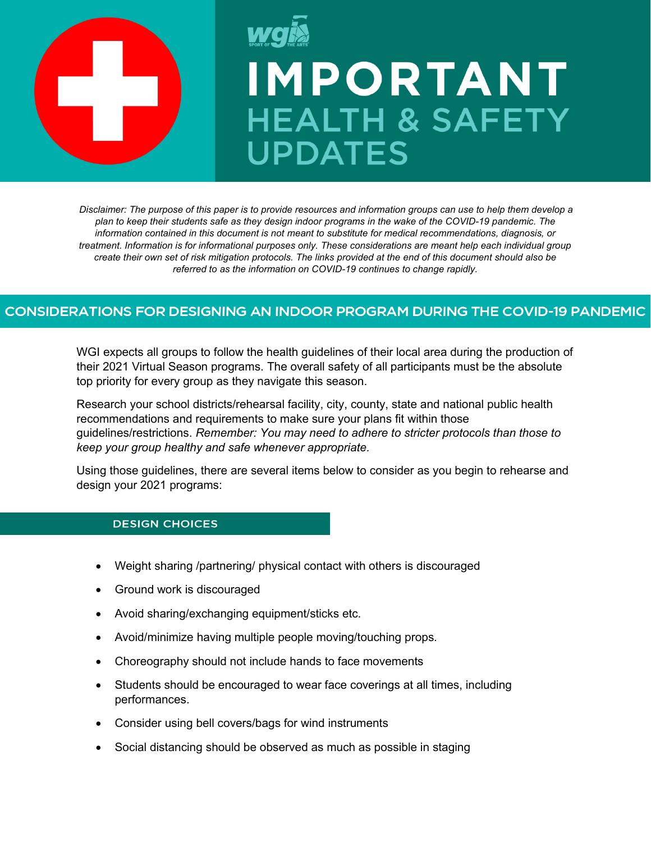

# **IMPORTANT HEALTH & SAFETY UPDATES**

*Disclaimer: The purpose of this paper is to provide resources and information groups can use to help them develop a plan to keep their students safe as they design indoor programs in the wake of the COVID-19 pandemic. The information contained in this document is not meant to substitute for medical recommendations, diagnosis, or treatment. Information is for informational purposes only. These considerations are meant help each individual group create their own set of risk mitigation protocols. The links provided at the end of this document should also be referred to as the information on COVID-19 continues to change rapidly.*

# CONSIDERATIONS FOR DESIGNING AN INDOOR PROGRAM DURING THE COVID-19 PANDEMIC

WGI expects all groups to follow the health guidelines of their local area during the production of their 2021 Virtual Season programs. The overall safety of all participants must be the absolute top priority for every group as they navigate this season.

Research your school districts/rehearsal facility, city, county, state and national public health recommendations and requirements to make sure your plans fit within those guidelines/restrictions. *Remember: You may need to adhere to stricter protocols than those to keep your group healthy and safe whenever appropriate.*

Using those guidelines, there are several items below to consider as you begin to rehearse and design your 2021 programs:

### **DESIGN CHOICES**

- Weight sharing /partnering/ physical contact with others is discouraged
- Ground work is discouraged
- Avoid sharing/exchanging equipment/sticks etc.
- Avoid/minimize having multiple people moving/touching props.
- Choreography should not include hands to face movements
- Students should be encouraged to wear face coverings at all times, including performances.
- Consider using bell covers/bags for wind instruments
- Social distancing should be observed as much as possible in staging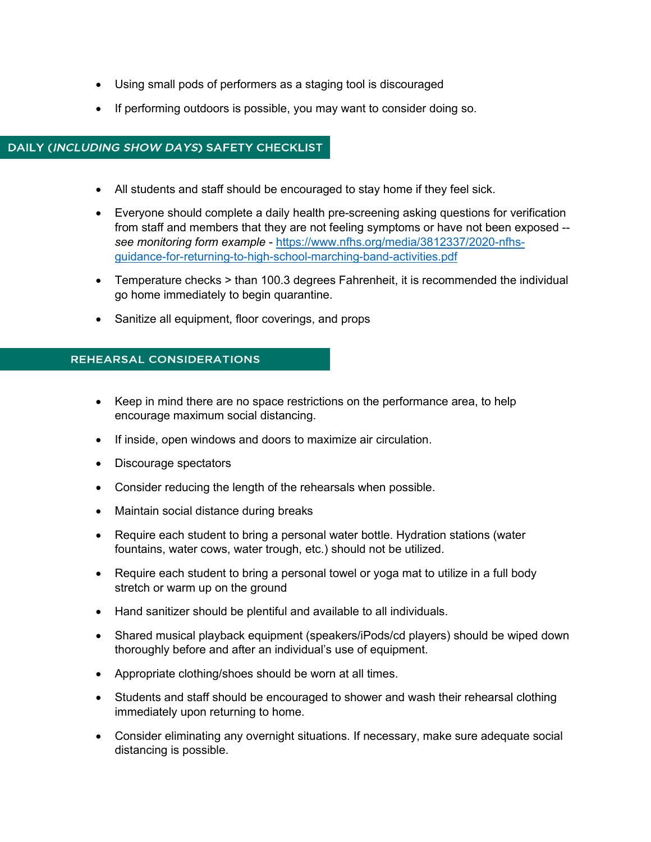- Using small pods of performers as a staging tool is discouraged
- If performing outdoors is possible, you may want to consider doing so.

## DAILY (INCLUDING SHOW DAYS) SAFETY CHECKLIST

- All students and staff should be encouraged to stay home if they feel sick.
- Everyone should complete a daily health pre-screening asking questions for verification from staff and members that they are not feeling symptoms or have not been exposed - *see monitoring form example* - [https://www.nfhs.org/media/3812337/2020-nfhs](https://www.nfhs.org/media/3812337/2020-nfhs-guidance-for-returning-to-high-school-marching-band-activities.pdf)[guidance-for-returning-to-high-school-marching-band-activities.pdf](https://www.nfhs.org/media/3812337/2020-nfhs-guidance-for-returning-to-high-school-marching-band-activities.pdf)
- Temperature checks > than 100.3 degrees Fahrenheit, it is recommended the individual go home immediately to begin quarantine.
- Sanitize all equipment, floor coverings, and props

# **REHEARSAL CONSIDERATIONS**

- Keep in mind there are no space restrictions on the performance area, to help encourage maximum social distancing.
- If inside, open windows and doors to maximize air circulation.
- Discourage spectators
- Consider reducing the length of the rehearsals when possible.
- Maintain social distance during breaks
- Require each student to bring a personal water bottle. Hydration stations (water fountains, water cows, water trough, etc.) should not be utilized.
- Require each student to bring a personal towel or yoga mat to utilize in a full body stretch or warm up on the ground
- Hand sanitizer should be plentiful and available to all individuals.
- Shared musical playback equipment (speakers/iPods/cd players) should be wiped down thoroughly before and after an individual's use of equipment.
- Appropriate clothing/shoes should be worn at all times.
- Students and staff should be encouraged to shower and wash their rehearsal clothing immediately upon returning to home.
- Consider eliminating any overnight situations. If necessary, make sure adequate social distancing is possible.